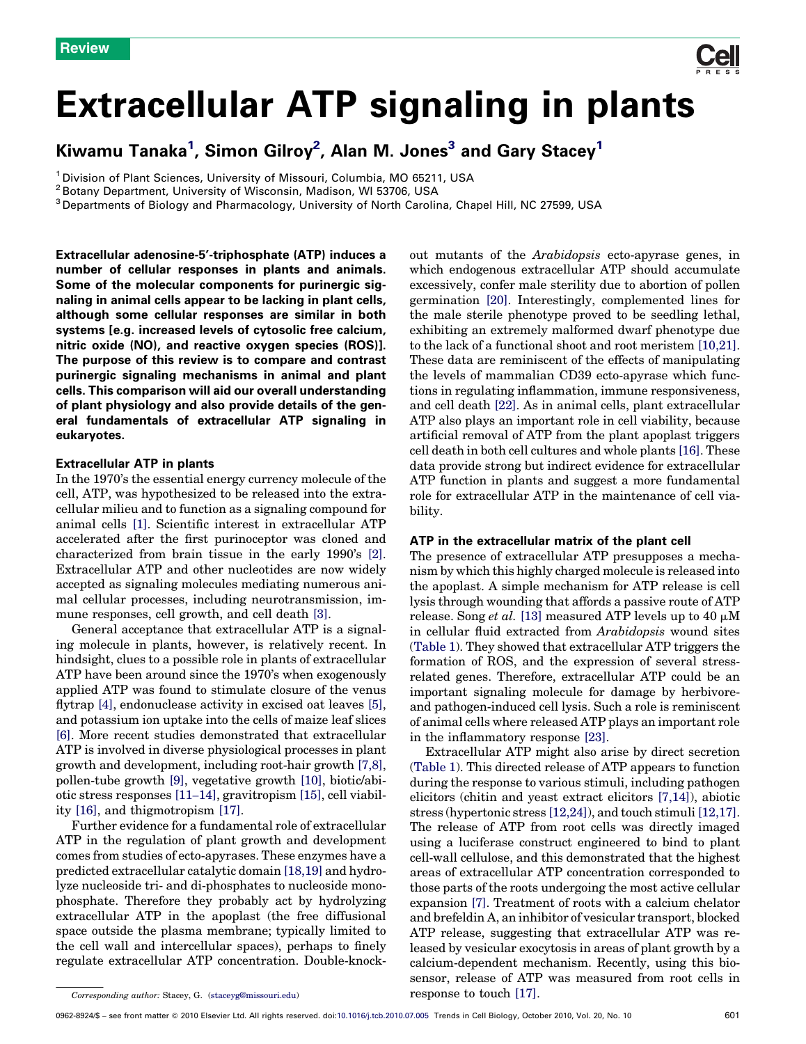# Extracellular ATP signaling in plants

## Kiwamu Tanaka $^1$ , Simon Gilroy $^2$ , Alan M. Jones $^3$  and Gary Stacey $^1$

<sup>1</sup> Division of Plant Sciences, University of Missouri, Columbia, MO 65211, USA

<sup>2</sup> Botany Department, University of Wisconsin, Madison, WI 53706, USA

<sup>3</sup> Departments of Biology and Pharmacology, University of North Carolina, Chapel Hill, NC 27599, USA

Extracellular adenosine-5'-triphosphate (ATP) induces a number of cellular responses in plants and animals. Some of the molecular components for purinergic signaling in animal cells appear to be lacking in plant cells, although some cellular responses are similar in both systems [e.g. increased levels of cytosolic free calcium, nitric oxide (NO), and reactive oxygen species (ROS)]. The purpose of this review is to compare and contrast purinergic signaling mechanisms in animal and plant cells. This comparison will aid our overall understanding of plant physiology and also provide details of the general fundamentals of extracellular ATP signaling in eukaryotes.

### Extracellular ATP in plants

In the 1970's the essential energy currency molecule of the cell, ATP, was hypothesized to be released into the extracellular milieu and to function as a signaling compound for animal cells [\[1\]](#page-6-0). Scientific interest in extracellular ATP accelerated after the first purinoceptor was cloned and characterized from brain tissue in the early 1990's [\[2\]](#page-6-0). Extracellular ATP and other nucleotides are now widely accepted as signaling molecules mediating numerous animal cellular processes, including neurotransmission, immune responses, cell growth, and cell death [\[3\]](#page-6-0).

General acceptance that extracellular ATP is a signaling molecule in plants, however, is relatively recent. In hindsight, clues to a possible role in plants of extracellular ATP have been around since the 1970's when exogenously applied ATP was found to stimulate closure of the venus flytrap [\[4\],](#page-6-0) endonuclease activity in excised oat leaves [\[5\]](#page-6-0), and potassium ion uptake into the cells of maize leaf slices [\[6\].](#page-6-0) More recent studies demonstrated that extracellular ATP is involved in diverse physiological processes in plant growth and development, including root-hair growth [\[7,8\]](#page-6-0), pollen-tube growth [\[9\]](#page-6-0), vegetative growth [\[10\],](#page-6-0) biotic/abiotic stress responses [11–[14\],](#page-6-0) gravitropism [\[15\]](#page-6-0), cell viability [\[16\],](#page-6-0) and thigmotropism [\[17\].](#page-6-0)

Further evidence for a fundamental role of extracellular ATP in the regulation of plant growth and development comes from studies of ecto-apyrases. These enzymes have a predicted extracellular catalytic domain [\[18,19\]](#page-6-0) and hydrolyze nucleoside tri- and di-phosphates to nucleoside monophosphate. Therefore they probably act by hydrolyzing extracellular ATP in the apoplast (the free diffusional space outside the plasma membrane; typically limited to the cell wall and intercellular spaces), perhaps to finely regulate extracellular ATP concentration. Double-knockout mutants of the Arabidopsis ecto-apyrase genes, in which endogenous extracellular ATP should accumulate excessively, confer male sterility due to abortion of pollen germination [\[20\]](#page-6-0). Interestingly, complemented lines for the male sterile phenotype proved to be seedling lethal, exhibiting an extremely malformed dwarf phenotype due to the lack of a functional shoot and root meristem [\[10,21\]](#page-6-0). These data are reminiscent of the effects of manipulating the levels of mammalian CD39 ecto-apyrase which functions in regulating inflammation, immune responsiveness, and cell death [\[22\]](#page-6-0). As in animal cells, plant extracellular ATP also plays an important role in cell viability, because artificial removal of ATP from the plant apoplast triggers cell death in both cell cultures and whole plants [\[16\]](#page-6-0). These data provide strong but indirect evidence for extracellular ATP function in plants and suggest a more fundamental role for extracellular ATP in the maintenance of cell viability.

### ATP in the extracellular matrix of the plant cell

The presence of extracellular ATP presupposes a mechanism by which this highly charged molecule is released into the apoplast. A simple mechanism for ATP release is cell lysis through wounding that affords a passive route of ATP release. Song *et al.* [\[13\]](#page-6-0) measured ATP levels up to 40  $\mu$ M in cellular fluid extracted from Arabidopsis wound sites ([Table 1](#page-1-0)). They showed that extracellular ATP triggers the formation of ROS, and the expression of several stressrelated genes. Therefore, extracellular ATP could be an important signaling molecule for damage by herbivoreand pathogen-induced cell lysis. Such a role is reminiscent of animal cells where released ATP plays an important role in the inflammatory response [\[23\].](#page-6-0)

Extracellular ATP might also arise by direct secretion ([Table 1\)](#page-1-0). This directed release of ATP appears to function during the response to various stimuli, including pathogen elicitors (chitin and yeast extract elicitors [\[7,14\]\)](#page-6-0), abiotic stress (hypertonic stress [\[12,24\]\)](#page-6-0), and touch stimuli [\[12,17\]](#page-6-0). The release of ATP from root cells was directly imaged using a luciferase construct engineered to bind to plant cell-wall cellulose, and this demonstrated that the highest areas of extracellular ATP concentration corresponded to those parts of the roots undergoing the most active cellular expansion [\[7\].](#page-6-0) Treatment of roots with a calcium chelator and brefeldin A, an inhibitor of vesicular transport, blocked ATP release, suggesting that extracellular ATP was released by vesicular exocytosis in areas of plant growth by a calcium-dependent mechanism. Recently, using this biosensor, release of ATP was measured from root cells in response to touch [\[17\].](#page-6-0)

Corresponding author: Stacey, G. [\(staceyg@missouri.edu](mailto:staceyg@missouri.edu))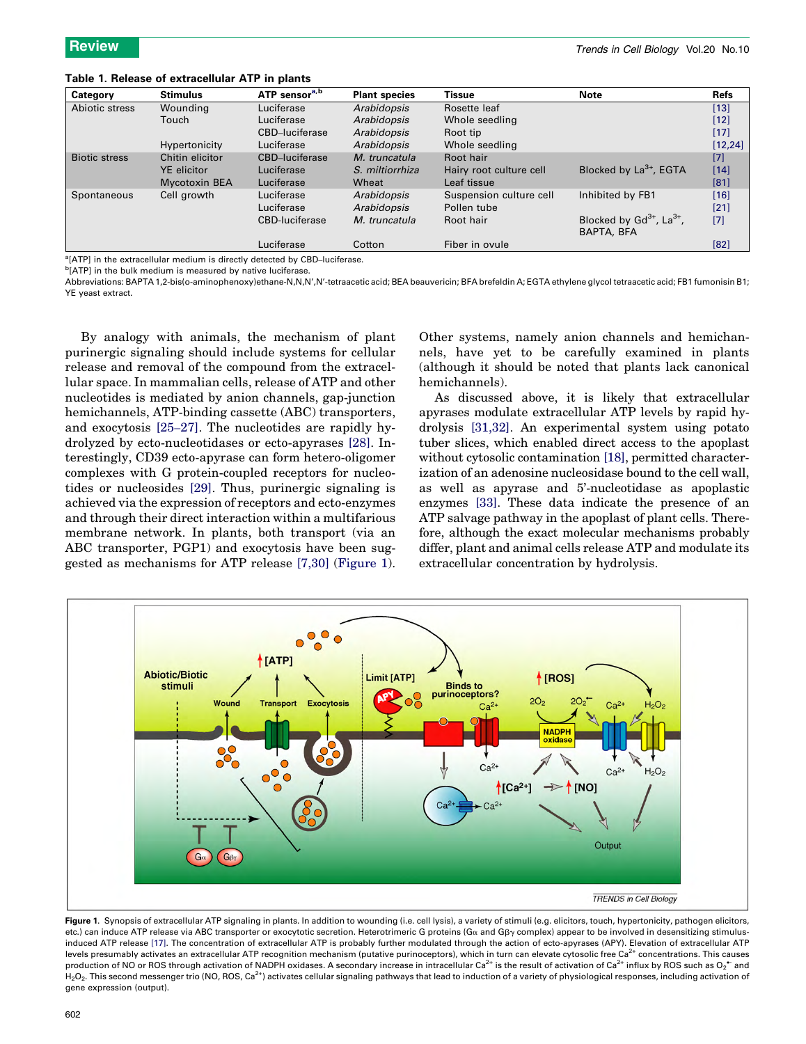<span id="page-1-0"></span>Table 1. Release of extracellular ATP in plants

| Category             | <b>Stimulus</b>      | ATP sensor <sup>a,b</sup> | <b>Plant species</b> | Tissue                  | <b>Note</b>                               | <b>Refs</b> |
|----------------------|----------------------|---------------------------|----------------------|-------------------------|-------------------------------------------|-------------|
| Abiotic stress       | Wounding             | Luciferase                | Arabidopsis          | Rosette leaf            |                                           | $[13]$      |
|                      | Touch                | Luciferase                | Arabidopsis          | Whole seedling          |                                           | $[12]$      |
|                      |                      | CBD-luciferase            | Arabidopsis          | Root tip                |                                           | $[17]$      |
|                      | Hypertonicity        | Luciferase                | Arabidopsis          | Whole seedling          |                                           | [12, 24]    |
| <b>Biotic stress</b> | Chitin elicitor      | CBD-luciferase            | M. truncatula        | Root hair               |                                           | $[7]$       |
|                      | <b>YE</b> elicitor   | Luciferase                | S. miltiorrhiza      | Hairy root culture cell | Blocked by $La^{3+}$ , EGTA               | $[14]$      |
|                      | <b>Mycotoxin BEA</b> | Luciferase                | Wheat                | Leaf tissue             |                                           | [81]        |
| Spontaneous          | Cell growth          | Luciferase                | Arabidopsis          | Suspension culture cell | Inhibited by FB1                          | $[16]$      |
|                      |                      | Luciferase                | Arabidopsis          | Pollen tube             |                                           | $[21]$      |
|                      |                      | CBD-luciferase            | M. truncatula        | Root hair               | Blocked by $Gd^{3+}$ , La <sup>3+</sup> , | $[7]$       |
|                      |                      |                           |                      |                         | BAPTA, BFA                                |             |
|                      |                      | Luciferase                | Cotton               | Fiber in ovule          |                                           | [82]        |

<sup>a</sup>[ATP] in the extracellular medium is directly detected by CBD-luciferase.

<sup>b</sup>[ATP] in the bulk medium is measured by native luciferase.

Abbreviations: BAPTA 1,2-bis(o-aminophenoxy)ethane-N,N,N',N'-tetraacetic acid; BEA beauvericin; BFA brefeldin A; EGTA ethylene glycol tetraacetic acid; FB1 fumonisin B1; YE yeast extract.

By analogy with animals, the mechanism of plant purinergic signaling should include systems for cellular release and removal of the compound from the extracellular space. In mammalian cells, release of ATP and other nucleotides is mediated by anion channels, gap-junction hemichannels, ATP-binding cassette (ABC) transporters, and exocytosis [25–[27\]](#page-6-0). The nucleotides are rapidly hydrolyzed by ecto-nucleotidases or ecto-apyrases [\[28\].](#page-6-0) Interestingly, CD39 ecto-apyrase can form hetero-oligomer complexes with G protein-coupled receptors for nucleotides or nucleosides [\[29\]](#page-7-0). Thus, purinergic signaling is achieved via the expression of receptors and ecto-enzymes and through their direct interaction within a multifarious membrane network. In plants, both transport (via an ABC transporter, PGP1) and exocytosis have been suggested as mechanisms for ATP release [\[7,30\]](#page-6-0) (Figure 1).

Other systems, namely anion channels and hemichannels, have yet to be carefully examined in plants (although it should be noted that plants lack canonical hemichannels).

As discussed above, it is likely that extracellular apyrases modulate extracellular ATP levels by rapid hydrolysis [\[31,32\].](#page-7-0) An experimental system using potato tuber slices, which enabled direct access to the apoplast without cytosolic contamination [\[18\]](#page-6-0), permitted characterization of an adenosine nucleosidase bound to the cell wall, as well as apyrase and 5'-nucleotidase as apoplastic enzymes [\[33\]](#page-7-0). These data indicate the presence of an ATP salvage pathway in the apoplast of plant cells. Therefore, although the exact molecular mechanisms probably differ, plant and animal cells release ATP and modulate its extracellular concentration by hydrolysis.



Figure 1. Synopsis of extracellular ATP signaling in plants. In addition to wounding (i.e. cell lysis), a variety of stimuli (e.g. elicitors, touch, hypertonicity, pathogen elicitors, etc.) can induce ATP release via ABC transporter or exocytotic secretion. Heterotrimeric G proteins (Ga and GBy complex) appear to be involved in desensitizing stimulusinduced ATP release [\[17\]](#page-6-0). The concentration of extracellular ATP is probably further modulated through the action of ecto-apyrases (APY). Elevation of extracellular ATP levels presumably activates an extracellular ATP recognition mechanism (putative purinoceptors), which in turn can elevate cytosolic free Ca<sup>2+</sup> concentrations. This causes production of NO or ROS through activation of NADPH oxidases. A secondary increase in intracellular Ca<sup>2+</sup> is the result of activation of Ca<sup>2+</sup> influx by ROS such as O2 $^{\bullet\bullet}$  and  $H_2O_2$ . This second messenger trio (NO, ROS, Ca<sup>2+</sup>) activates cellular signaling pathways that lead to induction of a variety of physiological responses, including activation of gene expression (output).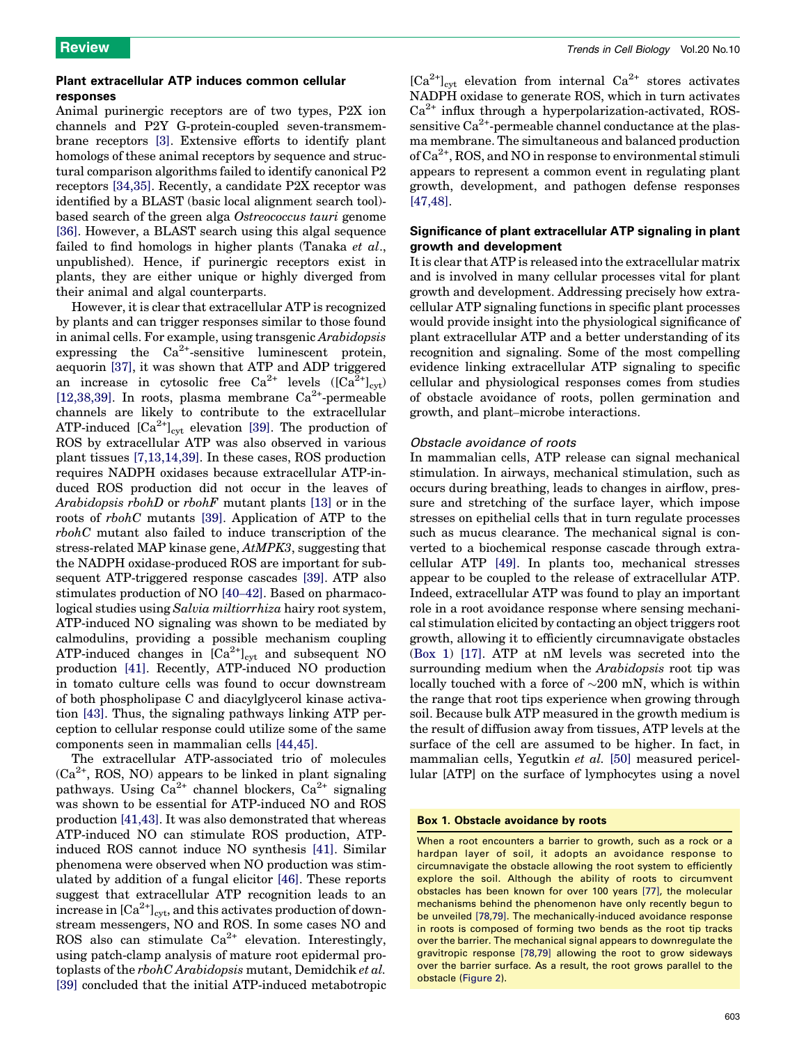### Plant extracellular ATP induces common cellular responses

Animal purinergic receptors are of two types, P2X ion channels and P2Y G-protein-coupled seven-transmembrane receptors [\[3\]](#page-6-0). Extensive efforts to identify plant homologs of these animal receptors by sequence and structural comparison algorithms failed to identify canonical P2 receptors [\[34,35\].](#page-7-0) Recently, a candidate P2X receptor was identified by a BLAST (basic local alignment search tool) based search of the green alga Ostreococcus tauri genome [\[36\]](#page-7-0). However, a BLAST search using this algal sequence failed to find homologs in higher plants (Tanaka et al., unpublished). Hence, if purinergic receptors exist in plants, they are either unique or highly diverged from their animal and algal counterparts.

However, it is clear that extracellular ATP is recognized by plants and can trigger responses similar to those found in animal cells. For example, using transgenic Arabidopsis expressing the  $Ca^{2+}$ -sensitive luminescent protein, aequorin [\[37\],](#page-7-0) it was shown that ATP and ADP triggered an increase in cytosolic free Ca<sup>2+</sup> levels  $([Ca<sup>2+</sup>]_{cvt})$ [\[12,38,39\]](#page-6-0). In roots, plasma membrane  $Ca^{2+}$ -permeable channels are likely to contribute to the extracellular ATP-induced  $[Ca^{2+}]_{\text{cyt}}$  elevation [\[39\].](#page-7-0) The production of ROS by extracellular ATP was also observed in various plant tissues [\[7,13,14,39\].](#page-6-0) In these cases, ROS production requires NADPH oxidases because extracellular ATP-induced ROS production did not occur in the leaves of Arabidopsis rbohD or rbohF mutant plants [\[13\]](#page-6-0) or in the roots of rbohC mutants [\[39\]](#page-7-0). Application of ATP to the rbohC mutant also failed to induce transcription of the stress-related MAP kinase gene, AtMPK3, suggesting that the NADPH oxidase-produced ROS are important for subsequent ATP-triggered response cascades [\[39\].](#page-7-0) ATP also stimulates production of NO [\[40](#page-7-0)–42]. Based on pharmacological studies using Salvia miltiorrhiza hairy root system, ATP-induced NO signaling was shown to be mediated by calmodulins, providing a possible mechanism coupling ATP-induced changes in  $[Ca^{2+}]_{\text{cyt}}$  and subsequent NO production [\[41\]](#page-7-0). Recently, ATP-induced NO production in tomato culture cells was found to occur downstream of both phospholipase C and diacylglycerol kinase activation [\[43\]](#page-7-0). Thus, the signaling pathways linking ATP perception to cellular response could utilize some of the same components seen in mammalian cells [\[44,45\]](#page-7-0).

The extracellular ATP-associated trio of molecules  $(Ca<sup>2+</sup>, ROS, NO)$  appears to be linked in plant signaling pathways. Using  $Ca^{2+}$  channel blockers,  $Ca^{2+}$  signaling was shown to be essential for ATP-induced NO and ROS production [\[41,43\].](#page-7-0) It was also demonstrated that whereas ATP-induced NO can stimulate ROS production, ATPinduced ROS cannot induce NO synthesis [\[41\].](#page-7-0) Similar phenomena were observed when NO production was stimulated by addition of a fungal elicitor [\[46\]](#page-7-0). These reports suggest that extracellular ATP recognition leads to an increase in  $\left[\text{Ca}^{2+}\right]_{\text{cvt}}$ , and this activates production of downstream messengers, NO and ROS. In some cases NO and ROS also can stimulate  $Ca^{2+}$  elevation. Interestingly, using patch-clamp analysis of mature root epidermal protoplasts of the rbohC Arabidopsis mutant, Demidchik et al. [\[39\]](#page-7-0) concluded that the initial ATP-induced metabotropic

 $[Ca^{2+}]_{\text{cvt}}$  elevation from internal  $Ca^{2+}$  stores activates NADPH oxidase to generate ROS, which in turn activates  $Ca<sup>2+</sup>$  influx through a hyperpolarization-activated, ROSsensitive  $Ca^{2+}$ -permeable channel conductance at the plasma membrane. The simultaneous and balanced production of  $Ca^{2+}$ , ROS, and NO in response to environmental stimuli appears to represent a common event in regulating plant growth, development, and pathogen defense responses [\[47,48\]](#page-7-0).

### Significance of plant extracellular ATP signaling in plant growth and development

It is clear that ATP is released into the extracellular matrix and is involved in many cellular processes vital for plant growth and development. Addressing precisely how extracellular ATP signaling functions in specific plant processes would provide insight into the physiological significance of plant extracellular ATP and a better understanding of its recognition and signaling. Some of the most compelling evidence linking extracellular ATP signaling to specific cellular and physiological responses comes from studies of obstacle avoidance of roots, pollen germination and growth, and plant–microbe interactions.

### Obstacle avoidance of roots

In mammalian cells, ATP release can signal mechanical stimulation. In airways, mechanical stimulation, such as occurs during breathing, leads to changes in airflow, pressure and stretching of the surface layer, which impose stresses on epithelial cells that in turn regulate processes such as mucus clearance. The mechanical signal is converted to a biochemical response cascade through extracellular ATP [\[49\].](#page-7-0) In plants too, mechanical stresses appear to be coupled to the release of extracellular ATP. Indeed, extracellular ATP was found to play an important role in a root avoidance response where sensing mechanical stimulation elicited by contacting an object triggers root growth, allowing it to efficiently circumnavigate obstacles (Box 1) [\[17\]](#page-6-0). ATP at nM levels was secreted into the surrounding medium when the Arabidopsis root tip was locally touched with a force of  $\sim 200$  mN, which is within the range that root tips experience when growing through soil. Because bulk ATP measured in the growth medium is the result of diffusion away from tissues, ATP levels at the surface of the cell are assumed to be higher. In fact, in mammalian cells, Yegutkin et al. [\[50\]](#page-7-0) measured pericellular [ATP] on the surface of lymphocytes using a novel

### Box 1. Obstacle avoidance by roots

When a root encounters a barrier to growth, such as a rock or a hardpan layer of soil, it adopts an avoidance response to circumnavigate the obstacle allowing the root system to efficiently explore the soil. Although the ability of roots to circumvent obstacles has been known for over 100 years [\[77\]](#page-7-0), the molecular mechanisms behind the phenomenon have only recently begun to be unveiled [\[78,79\]](#page-7-0). The mechanically-induced avoidance response in roots is composed of forming two bends as the root tip tracks over the barrier. The mechanical signal appears to downregulate the gravitropic response [\[78,79\]](#page-7-0) allowing the root to grow sideways over the barrier surface. As a result, the root grows parallel to the obstacle ([Figure 2\)](#page-3-0).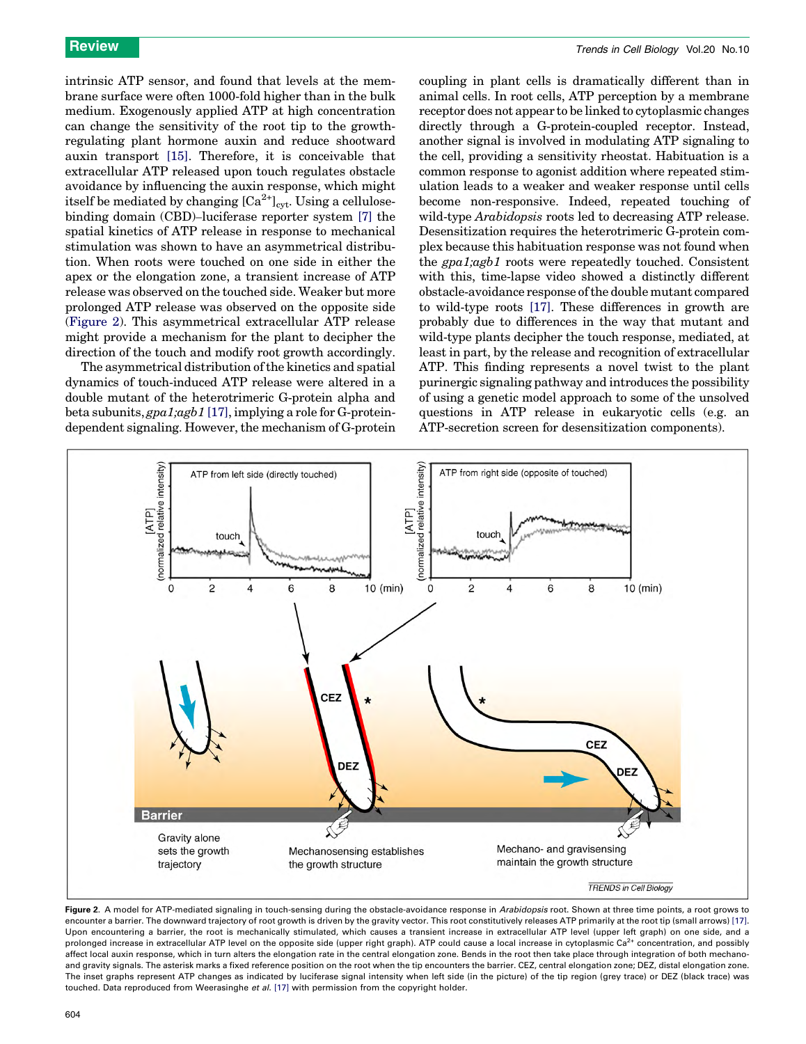<span id="page-3-0"></span>intrinsic ATP sensor, and found that levels at the membrane surface were often 1000-fold higher than in the bulk medium. Exogenously applied ATP at high concentration can change the sensitivity of the root tip to the growthregulating plant hormone auxin and reduce shootward auxin transport [\[15\]](#page-6-0). Therefore, it is conceivable that extracellular ATP released upon touch regulates obstacle avoidance by influencing the auxin response, which might itself be mediated by changing  $\left[\text{Ca}^{2+}\right]_{\text{cyt}}$ . Using a cellulosebinding domain (CBD)–luciferase reporter system [\[7\]](#page-6-0) the spatial kinetics of ATP release in response to mechanical stimulation was shown to have an asymmetrical distribution. When roots were touched on one side in either the apex or the elongation zone, a transient increase of ATP release was observed on the touched side. Weaker but more prolonged ATP release was observed on the opposite side (Figure 2). This asymmetrical extracellular ATP release might provide a mechanism for the plant to decipher the direction of the touch and modify root growth accordingly.

The asymmetrical distribution of the kinetics and spatial dynamics of touch-induced ATP release were altered in a double mutant of the heterotrimeric G-protein alpha and beta subunits, gpa1;agb1 [\[17\],](#page-6-0) implying a role for G-proteindependent signaling. However, the mechanism of G-protein coupling in plant cells is dramatically different than in animal cells. In root cells, ATP perception by a membrane receptor does not appear to be linked to cytoplasmic changes directly through a G-protein-coupled receptor. Instead, another signal is involved in modulating ATP signaling to the cell, providing a sensitivity rheostat. Habituation is a common response to agonist addition where repeated stimulation leads to a weaker and weaker response until cells become non-responsive. Indeed, repeated touching of wild-type *Arabidopsis* roots led to decreasing ATP release. Desensitization requires the heterotrimeric G-protein complex because this habituation response was not found when the gpa1;agb1 roots were repeatedly touched. Consistent with this, time-lapse video showed a distinctly different obstacle-avoidance response of the double mutant compared to wild-type roots [\[17\].](#page-6-0) These differences in growth are probably due to differences in the way that mutant and wild-type plants decipher the touch response, mediated, at least in part, by the release and recognition of extracellular ATP. This finding represents a novel twist to the plant purinergic signaling pathway and introduces the possibility of using a genetic model approach to some of the unsolved questions in ATP release in eukaryotic cells (e.g. an ATP-secretion screen for desensitization components).



Figure 2. A model for ATP-mediated signaling in touch-sensing during the obstacle-avoidance response in Arabidopsis root. Shown at three time points, a root grows to encounter a barrier. The downward trajectory of root growth is driven by the gravity vector. This root constitutively releases ATP primarily at the root tip (small arrows) [\[17\].](#page-6-0) Upon encountering a barrier, the root is mechanically stimulated, which causes a transient increase in extracellular ATP level (upper left graph) on one side, and a prolonged increase in extracellular ATP level on the opposite side (upper right graph). ATP could cause a local increase in cytoplasmic  $Ca<sup>2+</sup>$  concentration, and possibly affect local auxin response, which in turn alters the elongation rate in the central elongation zone. Bends in the root then take place through integration of both mechanoand gravity signals. The asterisk marks a fixed reference position on the root when the tip encounters the barrier. CEZ, central elongation zone; DEZ, distal elongation zone. The inset graphs represent ATP changes as indicated by luciferase signal intensity when left side (in the picture) of the tip region (grey trace) or DEZ (black trace) was touched. Data reproduced from Weerasinghe et al. [\[17\]](#page-6-0) with permission from the copyright holder.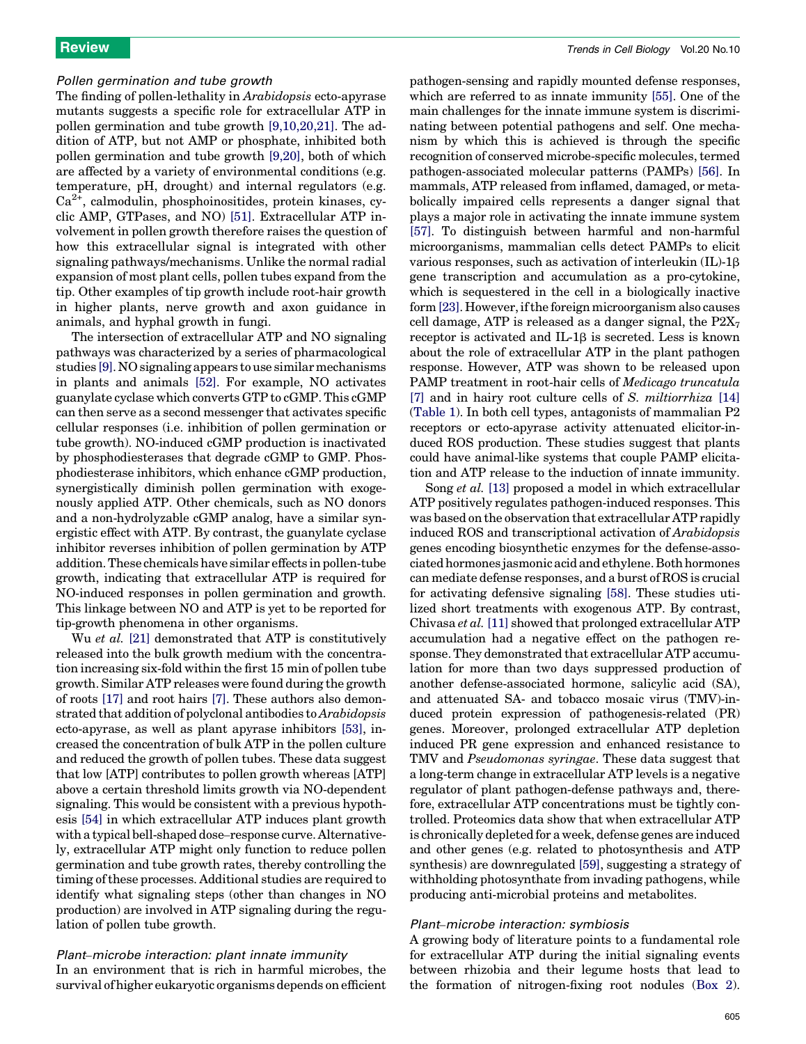### Pollen germination and tube growth

The finding of pollen-lethality in Arabidopsis ecto-apyrase mutants suggests a specific role for extracellular ATP in pollen germination and tube growth [\[9,10,20,21\]](#page-6-0). The addition of ATP, but not AMP or phosphate, inhibited both pollen germination and tube growth [\[9,20\],](#page-6-0) both of which are affected by a variety of environmental conditions (e.g. temperature, pH, drought) and internal regulators (e.g.  $Ca<sup>2+</sup>$ , calmodulin, phosphoinositides, protein kinases, cyclic AMP, GTPases, and NO) [\[51\]](#page-7-0). Extracellular ATP involvement in pollen growth therefore raises the question of how this extracellular signal is integrated with other signaling pathways/mechanisms. Unlike the normal radial expansion of most plant cells, pollen tubes expand from the tip. Other examples of tip growth include root-hair growth in higher plants, nerve growth and axon guidance in animals, and hyphal growth in fungi.

The intersection of extracellular ATP and NO signaling pathways was characterized by a series of pharmacological studies [\[9\].](#page-6-0) NO signaling appears to use similar mechanisms in plants and animals [\[52\].](#page-7-0) For example, NO activates guanylate cyclase which converts GTP to cGMP. This cGMP can then serve as a second messenger that activates specific cellular responses (i.e. inhibition of pollen germination or tube growth). NO-induced cGMP production is inactivated by phosphodiesterases that degrade cGMP to GMP. Phosphodiesterase inhibitors, which enhance cGMP production, synergistically diminish pollen germination with exogenously applied ATP. Other chemicals, such as NO donors and a non-hydrolyzable cGMP analog, have a similar synergistic effect with ATP. By contrast, the guanylate cyclase inhibitor reverses inhibition of pollen germination by ATP addition. These chemicals have similar effects in pollen-tube growth, indicating that extracellular ATP is required for NO-induced responses in pollen germination and growth. This linkage between NO and ATP is yet to be reported for tip-growth phenomena in other organisms.

Wu *et al.* [\[21\]](#page-6-0) demonstrated that ATP is constitutively released into the bulk growth medium with the concentration increasing six-fold within the first 15 min of pollen tube growth. Similar ATP releases were found during the growth of roots [\[17\]](#page-6-0) and root hairs [\[7\].](#page-6-0) These authors also demonstrated that addition of polyclonal antibodies toArabidopsis ecto-apyrase, as well as plant apyrase inhibitors [\[53\],](#page-7-0) increased the concentration of bulk ATP in the pollen culture and reduced the growth of pollen tubes. These data suggest that low [ATP] contributes to pollen growth whereas [ATP] above a certain threshold limits growth via NO-dependent signaling. This would be consistent with a previous hypothesis [\[54\]](#page-7-0) in which extracellular ATP induces plant growth with a typical bell-shaped dose–response curve. Alternatively, extracellular ATP might only function to reduce pollen germination and tube growth rates, thereby controlling the timing of these processes. Additional studies are required to identify what signaling steps (other than changes in NO production) are involved in ATP signaling during the regulation of pollen tube growth.

Plant–microbe interaction: plant innate immunity In an environment that is rich in harmful microbes, the survival of higher eukaryotic organisms depends on efficient pathogen-sensing and rapidly mounted defense responses, which are referred to as innate immunity [\[55\]](#page-7-0). One of the main challenges for the innate immune system is discriminating between potential pathogens and self. One mechanism by which this is achieved is through the specific recognition of conserved microbe-specific molecules, termed pathogen-associated molecular patterns (PAMPs) [\[56\].](#page-7-0) In mammals, ATP released from inflamed, damaged, or metabolically impaired cells represents a danger signal that plays a major role in activating the innate immune system [\[57\].](#page-7-0) To distinguish between harmful and non-harmful microorganisms, mammalian cells detect PAMPs to elicit various responses, such as activation of interleukin  $(IL)-1\beta$ gene transcription and accumulation as a pro-cytokine, which is sequestered in the cell in a biologically inactive form [\[23\]](#page-6-0). However, if the foreign microorganism also causes cell damage, ATP is released as a danger signal, the  $P2X_7$ receptor is activated and IL-1 $\beta$  is secreted. Less is known about the role of extracellular ATP in the plant pathogen response. However, ATP was shown to be released upon PAMP treatment in root-hair cells of Medicago truncatula [\[7\]](#page-6-0) and in hairy root culture cells of S. miltiorrhiza [\[14\]](#page-6-0) ([Table 1](#page-1-0)). In both cell types, antagonists of mammalian P2 receptors or ecto-apyrase activity attenuated elicitor-induced ROS production. These studies suggest that plants could have animal-like systems that couple PAMP elicitation and ATP release to the induction of innate immunity.

Song et al. [\[13\]](#page-6-0) proposed a model in which extracellular ATP positively regulates pathogen-induced responses. This was based on the observation that extracellular ATP rapidly induced ROS and transcriptional activation of Arabidopsis genes encoding biosynthetic enzymes for the defense-associated hormones jasmonic acid and ethylene. Both hormones can mediate defense responses, and a burst of ROS is crucial for activating defensive signaling [\[58\]](#page-7-0). These studies utilized short treatments with exogenous ATP. By contrast, Chivasa et al. [\[11\]](#page-6-0) showed that prolonged extracellular ATP accumulation had a negative effect on the pathogen response. They demonstrated that extracellular ATP accumulation for more than two days suppressed production of another defense-associated hormone, salicylic acid (SA), and attenuated SA- and tobacco mosaic virus (TMV)-induced protein expression of pathogenesis-related (PR) genes. Moreover, prolonged extracellular ATP depletion induced PR gene expression and enhanced resistance to TMV and Pseudomonas syringae. These data suggest that a long-term change in extracellular ATP levels is a negative regulator of plant pathogen-defense pathways and, therefore, extracellular ATP concentrations must be tightly controlled. Proteomics data show that when extracellular ATP is chronically depleted for a week, defense genes are induced and other genes (e.g. related to photosynthesis and ATP synthesis) are downregulated [\[59\]](#page-7-0), suggesting a strategy of withholding photosynthate from invading pathogens, while producing anti-microbial proteins and metabolites.

### Plant–microbe interaction: symbiosis

A growing body of literature points to a fundamental role for extracellular ATP during the initial signaling events between rhizobia and their legume hosts that lead to the formation of nitrogen-fixing root nodules [\(Box 2\)](#page-5-0).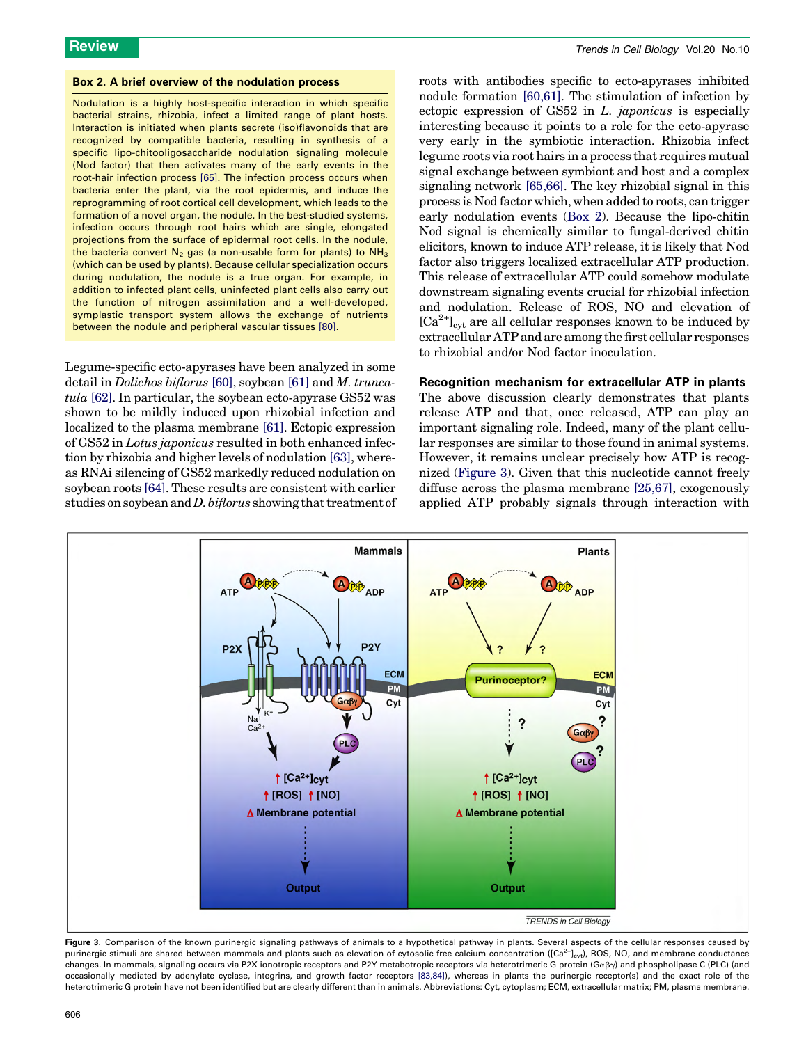### <span id="page-5-0"></span>Box 2. A brief overview of the nodulation process

Nodulation is a highly host-specific interaction in which specific bacterial strains, rhizobia, infect a limited range of plant hosts. Interaction is initiated when plants secrete (iso)flavonoids that are recognized by compatible bacteria, resulting in synthesis of a specific lipo-chitooligosaccharide nodulation signaling molecule (Nod factor) that then activates many of the early events in the root-hair infection process [\[65\]](#page-7-0). The infection process occurs when bacteria enter the plant, via the root epidermis, and induce the reprogramming of root cortical cell development, which leads to the formation of a novel organ, the nodule. In the best-studied systems, infection occurs through root hairs which are single, elongated projections from the surface of epidermal root cells. In the nodule, the bacteria convert  $N_2$  gas (a non-usable form for plants) to  $NH_3$ (which can be used by plants). Because cellular specialization occurs during nodulation, the nodule is a true organ. For example, in addition to infected plant cells, uninfected plant cells also carry out the function of nitrogen assimilation and a well-developed, symplastic transport system allows the exchange of nutrients between the nodule and peripheral vascular tissues [\[80\].](#page-7-0)

Legume-specific ecto-apyrases have been analyzed in some detail in Dolichos biflorus [\[60\]](#page-7-0), soybean [\[61\]](#page-7-0) and M. truncatula [\[62\]](#page-7-0). In particular, the soybean ecto-apyrase GS52 was shown to be mildly induced upon rhizobial infection and localized to the plasma membrane [\[61\].](#page-7-0) Ectopic expression of GS52 in Lotus japonicus resulted in both enhanced infection by rhizobia and higher levels of nodulation [\[63\],](#page-7-0) whereas RNAi silencing of GS52 markedly reduced nodulation on soybean roots [\[64\].](#page-7-0) These results are consistent with earlier studies on soybean and *D. biflorus* showing that treatment of roots with antibodies specific to ecto-apyrases inhibited nodule formation [\[60,61\].](#page-7-0) The stimulation of infection by ectopic expression of GS52 in L. japonicus is especially interesting because it points to a role for the ecto-apyrase very early in the symbiotic interaction. Rhizobia infect legume roots via root hairs in a process that requires mutual signal exchange between symbiont and host and a complex signaling network [\[65,66\].](#page-7-0) The key rhizobial signal in this process is Nod factor which, when added to roots, can trigger early nodulation events (Box 2). Because the lipo-chitin Nod signal is chemically similar to fungal-derived chitin elicitors, known to induce ATP release, it is likely that Nod factor also triggers localized extracellular ATP production. This release of extracellular ATP could somehow modulate downstream signaling events crucial for rhizobial infection and nodulation. Release of ROS, NO and elevation of  $[Ca^{2+}]<sub>ext</sub>$  are all cellular responses known to be induced by extracellular ATP and are among the first cellular responses to rhizobial and/or Nod factor inoculation.

### Recognition mechanism for extracellular ATP in plants

The above discussion clearly demonstrates that plants release ATP and that, once released, ATP can play an important signaling role. Indeed, many of the plant cellular responses are similar to those found in animal systems. However, it remains unclear precisely how ATP is recognized (Figure 3). Given that this nucleotide cannot freely diffuse across the plasma membrane [\[25,67\]](#page-6-0), exogenously applied ATP probably signals through interaction with



Figure 3. Comparison of the known purinergic signaling pathways of animals to a hypothetical pathway in plants. Several aspects of the cellular responses caused by purinergic stimuli are shared between mammals and plants such as elevation of cytosolic free calcium concentration ( $[Ca<sup>2+</sup>]_{\text{cyl}}$ ), ROS, NO, and membrane conductance changes. In mammals, signaling occurs via P2X ionotropic receptors and P2Y metabotropic receptors via heterotrimeric G protein (G $\alpha\beta\gamma$ ) and phospholipase C (PLC) (and occasionally mediated by adenylate cyclase, integrins, and growth factor receptors [\[83,84\]](#page-7-0)), whereas in plants the purinergic receptor(s) and the exact role of the heterotrimeric G protein have not been identified but are clearly different than in animals. Abbreviations: Cyt, cytoplasm; ECM, extracellular matrix; PM, plasma membrane.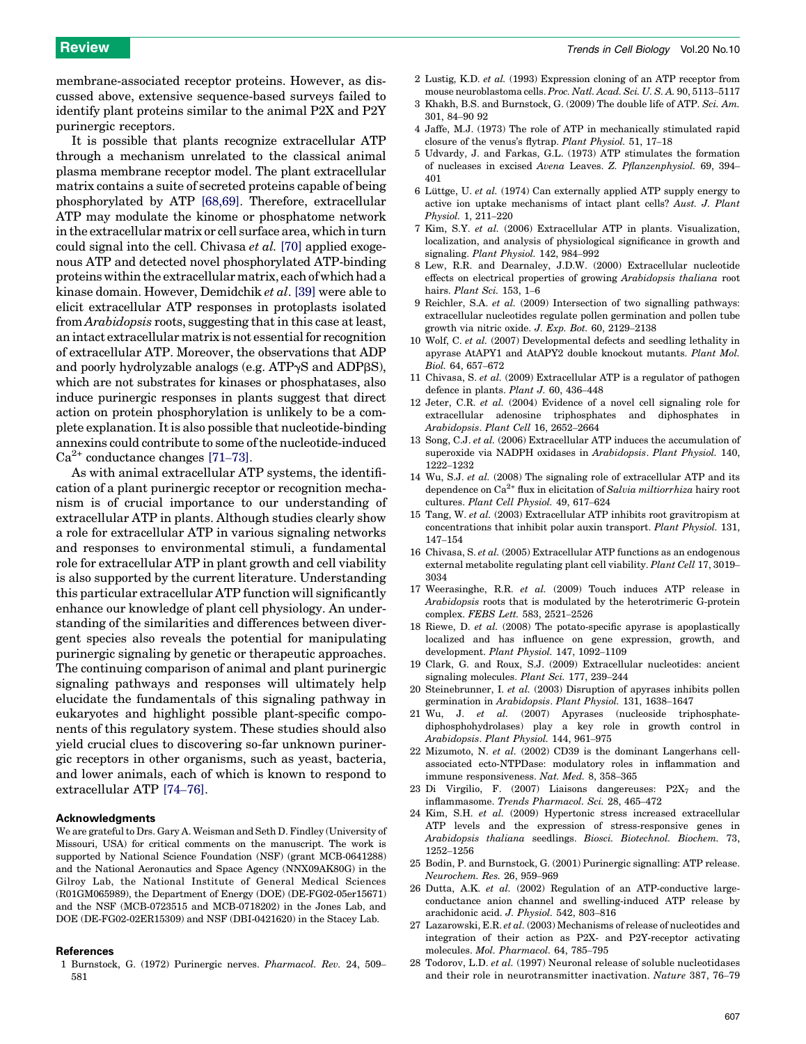<span id="page-6-0"></span>membrane-associated receptor proteins. However, as discussed above, extensive sequence-based surveys failed to identify plant proteins similar to the animal P2X and P2Y purinergic receptors.

It is possible that plants recognize extracellular ATP through a mechanism unrelated to the classical animal plasma membrane receptor model. The plant extracellular matrix contains a suite of secreted proteins capable of being phosphorylated by ATP [\[68,69\]](#page-7-0). Therefore, extracellular ATP may modulate the kinome or phosphatome network in the extracellular matrix or cell surface area, which in turn could signal into the cell. Chivasa *et al.* [\[70\]](#page-7-0) applied exogenous ATP and detected novel phosphorylated ATP-binding proteins within the extracellular matrix, each of which had a kinase domain. However, Demidchik et al. [\[39\]](#page-7-0) were able to elicit extracellular ATP responses in protoplasts isolated from Arabidopsis roots, suggesting that in this case at least, an intact extracellular matrix is not essential for recognition of extracellular ATP. Moreover, the observations that ADP and poorly hydrolyzable analogs (e.g.  $ATP\gamma S$  and  $ADP\beta S$ ), which are not substrates for kinases or phosphatases, also induce purinergic responses in plants suggest that direct action on protein phosphorylation is unlikely to be a complete explanation. It is also possible that nucleotide-binding annexins could contribute to some of the nucleotide-induced  $Ca^{2+}$  conductance changes [\[71](#page-7-0)–73].

As with animal extracellular ATP systems, the identification of a plant purinergic receptor or recognition mechanism is of crucial importance to our understanding of extracellular ATP in plants. Although studies clearly show a role for extracellular ATP in various signaling networks and responses to environmental stimuli, a fundamental role for extracellular ATP in plant growth and cell viability is also supported by the current literature. Understanding this particular extracellular ATP function will significantly enhance our knowledge of plant cell physiology. An understanding of the similarities and differences between divergent species also reveals the potential for manipulating purinergic signaling by genetic or therapeutic approaches. The continuing comparison of animal and plant purinergic signaling pathways and responses will ultimately help elucidate the fundamentals of this signaling pathway in eukaryotes and highlight possible plant-specific components of this regulatory system. These studies should also yield crucial clues to discovering so-far unknown purinergic receptors in other organisms, such as yeast, bacteria, and lower animals, each of which is known to respond to extracellular ATP [74–[76\].](#page-7-0)

### Acknowledgments

We are grateful to Drs. Gary A. Weisman and Seth D. Findley (University of Missouri, USA) for critical comments on the manuscript. The work is supported by National Science Foundation (NSF) (grant MCB-0641288) and the National Aeronautics and Space Agency (NNX09AK80G) in the Gilroy Lab, the National Institute of General Medical Sciences (R01GM065989), the Department of Energy (DOE) (DE-FG02-05er15671) and the NSF (MCB-0723515 and MCB-0718202) in the Jones Lab, and DOE (DE-FG02-02ER15309) and NSF (DBI-0421620) in the Stacey Lab.

### References

1 Burnstock, G. (1972) Purinergic nerves. Pharmacol. Rev. 24, 509– 581

- 2 Lustig, K.D. et al. (1993) Expression cloning of an ATP receptor from mouse neuroblastoma cells. Proc. Natl. Acad. Sci. U. S. A. 90, 5113–5117
- 3 Khakh, B.S. and Burnstock, G. (2009) The double life of ATP. Sci. Am. 301, 84–90 92
- 4 Jaffe, M.J. (1973) The role of ATP in mechanically stimulated rapid closure of the venus's flytrap. Plant Physiol. 51, 17–18
- 5 Udvardy, J. and Farkas, G.L. (1973) ATP stimulates the formation of nucleases in excised Avena Leaves. Z. Pflanzenphysiol. 69, 394– 401
- 6 Lüttge, U. et al. (1974) Can externally applied ATP supply energy to active ion uptake mechanisms of intact plant cells? Aust. J. Plant Physiol. 1, 211–220
- 7 Kim, S.Y. et al. (2006) Extracellular ATP in plants. Visualization, localization, and analysis of physiological significance in growth and signaling. Plant Physiol. 142, 984–992
- 8 Lew, R.R. and Dearnaley, J.D.W. (2000) Extracellular nucleotide effects on electrical properties of growing Arabidopsis thaliana root hairs. Plant Sci. 153, 1-6
- 9 Reichler, S.A. et al. (2009) Intersection of two signalling pathways: extracellular nucleotides regulate pollen germination and pollen tube growth via nitric oxide. J. Exp. Bot. 60, 2129–2138
- Wolf, C. et al. (2007) Developmental defects and seedling lethality in apyrase AtAPY1 and AtAPY2 double knockout mutants. Plant Mol. Biol. 64, 657–672
- 11 Chivasa, S. et al. (2009) Extracellular ATP is a regulator of pathogen defence in plants. Plant J. 60, 436–448
- 12 Jeter, C.R. et al. (2004) Evidence of a novel cell signaling role for extracellular adenosine triphosphates and diphosphates in Arabidopsis. Plant Cell 16, 2652–2664
- 13 Song, C.J. et al. (2006) Extracellular ATP induces the accumulation of superoxide via NADPH oxidases in Arabidopsis. Plant Physiol. 140, 1222–1232
- 14 Wu, S.J. et al. (2008) The signaling role of extracellular ATP and its dependence on  $Ca^{2+}$  flux in elicitation of Salvia miltiorrhiza hairy root cultures. Plant Cell Physiol. 49, 617–624
- 15 Tang, W. et al. (2003) Extracellular ATP inhibits root gravitropism at concentrations that inhibit polar auxin transport. Plant Physiol. 131, 147–154
- 16 Chivasa, S. et al. (2005) Extracellular ATP functions as an endogenous external metabolite regulating plant cell viability. Plant Cell 17, 3019– 3034
- 17 Weerasinghe, R.R. et al. (2009) Touch induces ATP release in Arabidopsis roots that is modulated by the heterotrimeric G-protein complex. FEBS Lett. 583, 2521–2526
- 18 Riewe, D. et al. (2008) The potato-specific apyrase is apoplastically localized and has influence on gene expression, growth, and development. Plant Physiol. 147, 1092–1109
- 19 Clark, G. and Roux, S.J. (2009) Extracellular nucleotides: ancient signaling molecules. Plant Sci. 177, 239–244
- 20 Steinebrunner, I. et al. (2003) Disruption of apyrases inhibits pollen germination in Arabidopsis. Plant Physiol. 131, 1638–1647
- 21 Wu, J. et al. (2007) Apyrases (nucleoside triphosphatediphosphohydrolases) play a key role in growth control in Arabidopsis. Plant Physiol. 144, 961–975
- 22 Mizumoto, N. et al. (2002) CD39 is the dominant Langerhans cellassociated ecto-NTPDase: modulatory roles in inflammation and immune responsiveness. Nat. Med. 8, 358–365
- 23 Di Virgilio, F. (2007) Liaisons dangereuses:  $P2X_7$  and the inflammasome. Trends Pharmacol. Sci. 28, 465–472
- 24 Kim, S.H. et al. (2009) Hypertonic stress increased extracellular ATP levels and the expression of stress-responsive genes in Arabidopsis thaliana seedlings. Biosci. Biotechnol. Biochem. 73, 1252–1256
- 25 Bodin, P. and Burnstock, G. (2001) Purinergic signalling: ATP release. Neurochem. Res. 26, 959–969
- 26 Dutta, A.K. et al. (2002) Regulation of an ATP-conductive largeconductance anion channel and swelling-induced ATP release by arachidonic acid. J. Physiol. 542, 803–816
- 27 Lazarowski, E.R. et al. (2003) Mechanisms of release of nucleotides and integration of their action as P2X- and P2Y-receptor activating molecules. Mol. Pharmacol. 64, 785–795
- 28 Todorov, L.D. et al. (1997) Neuronal release of soluble nucleotidases and their role in neurotransmitter inactivation. Nature 387, 76–79